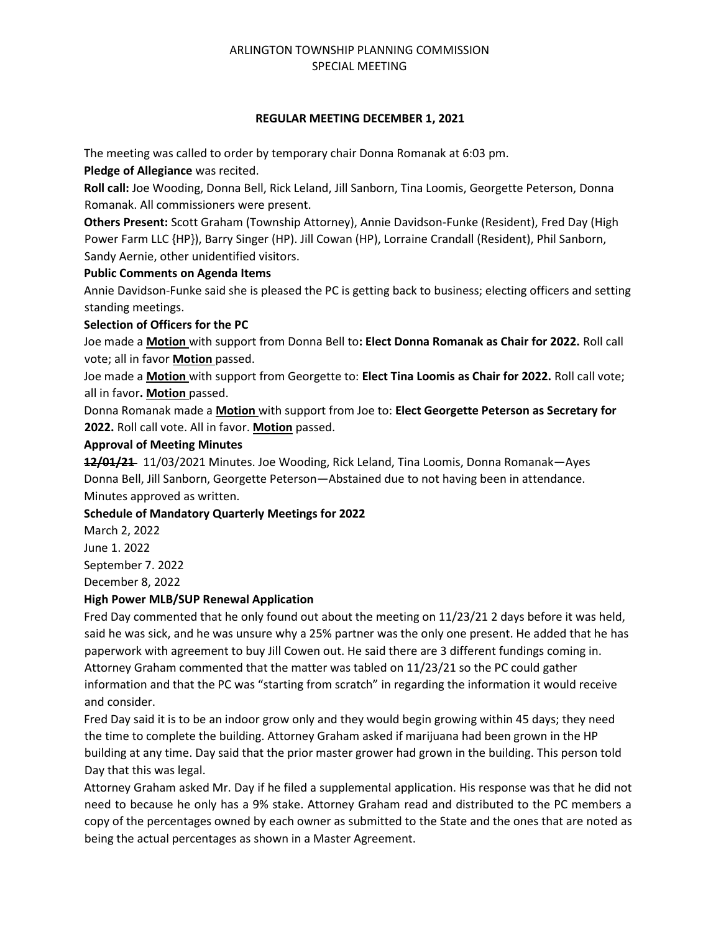#### **REGULAR MEETING DECEMBER 1, 2021**

The meeting was called to order by temporary chair Donna Romanak at 6:03 pm.

**Pledge of Allegiance** was recited.

**Roll call:** Joe Wooding, Donna Bell, Rick Leland, Jill Sanborn, Tina Loomis, Georgette Peterson, Donna Romanak. All commissioners were present.

**Others Present:** Scott Graham (Township Attorney), Annie Davidson-Funke (Resident), Fred Day (High Power Farm LLC {HP}), Barry Singer (HP). Jill Cowan (HP), Lorraine Crandall (Resident), Phil Sanborn, Sandy Aernie, other unidentified visitors.

### **Public Comments on Agenda Items**

Annie Davidson-Funke said she is pleased the PC is getting back to business; electing officers and setting standing meetings.

### **Selection of Officers for the PC**

Joe made a **Motion** with support from Donna Bell to**: Elect Donna Romanak as Chair for 2022.** Roll call vote; all in favor **Motion** passed.

Joe made a **Motion** with support from Georgette to: **Elect Tina Loomis as Chair for 2022.** Roll call vote; all in favor**. Motion** passed.

Donna Romanak made a **Motion** with support from Joe to: **Elect Georgette Peterson as Secretary for 2022.** Roll call vote. All in favor. **Motion** passed.

# **Approval of Meeting Minutes**

**12/01/21** 11/03/2021 Minutes. Joe Wooding, Rick Leland, Tina Loomis, Donna Romanak—Ayes Donna Bell, Jill Sanborn, Georgette Peterson—Abstained due to not having been in attendance. Minutes approved as written.

# **Schedule of Mandatory Quarterly Meetings for 2022**

March 2, 2022 June 1. 2022 September 7. 2022 December 8, 2022

# **High Power MLB/SUP Renewal Application**

Fred Day commented that he only found out about the meeting on 11/23/21 2 days before it was held, said he was sick, and he was unsure why a 25% partner was the only one present. He added that he has paperwork with agreement to buy Jill Cowen out. He said there are 3 different fundings coming in. Attorney Graham commented that the matter was tabled on 11/23/21 so the PC could gather information and that the PC was "starting from scratch" in regarding the information it would receive and consider.

Fred Day said it is to be an indoor grow only and they would begin growing within 45 days; they need the time to complete the building. Attorney Graham asked if marijuana had been grown in the HP building at any time. Day said that the prior master grower had grown in the building. This person told Day that this was legal.

Attorney Graham asked Mr. Day if he filed a supplemental application. His response was that he did not need to because he only has a 9% stake. Attorney Graham read and distributed to the PC members a copy of the percentages owned by each owner as submitted to the State and the ones that are noted as being the actual percentages as shown in a Master Agreement.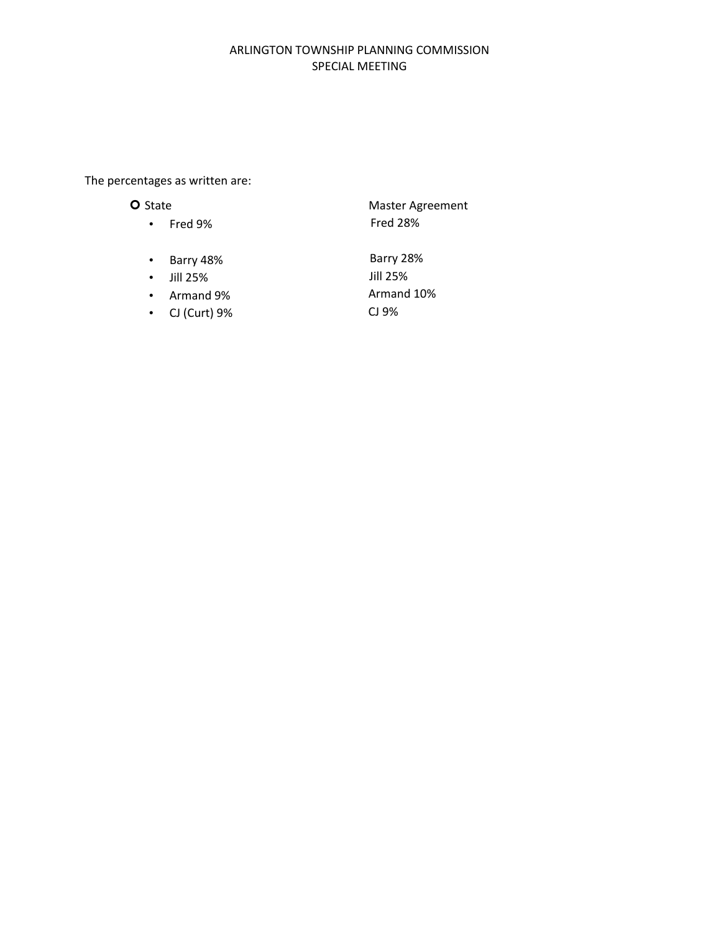The percentages as written are:

| Fred 9% |
|---------|
|---------|

- Barry 48% Barry 28%
- Jill 25% Jill 25%
- Armand 9% Armand 10%
- CJ (Curt) 9% CJ 9%

O State Master Agreement Fred 28%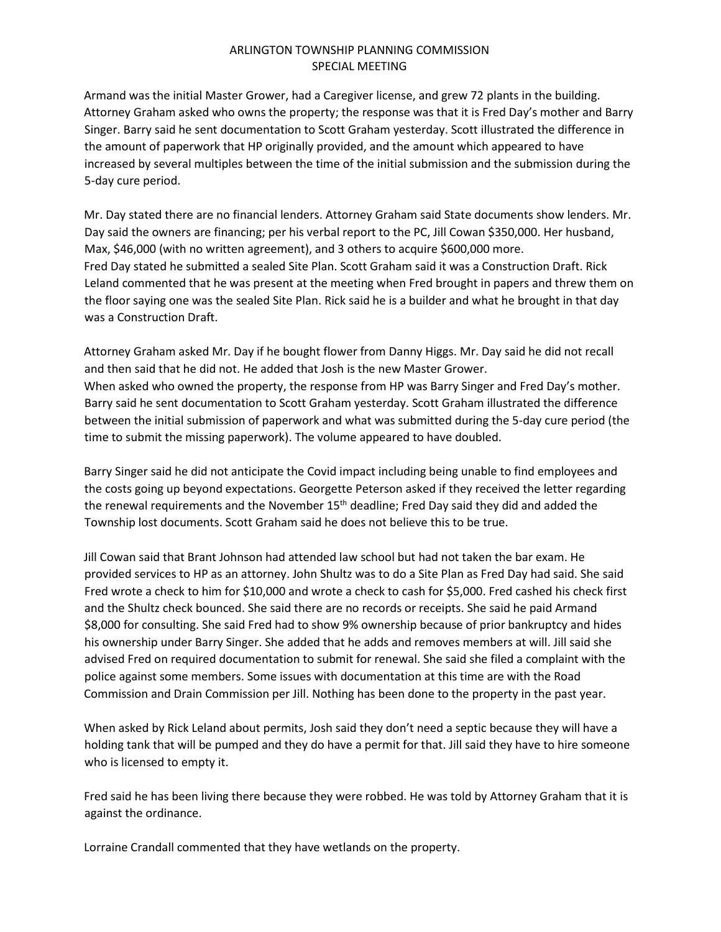Armand was the initial Master Grower, had a Caregiver license, and grew 72 plants in the building. Attorney Graham asked who owns the property; the response was that it is Fred Day's mother and Barry Singer. Barry said he sent documentation to Scott Graham yesterday. Scott illustrated the difference in the amount of paperwork that HP originally provided, and the amount which appeared to have increased by several multiples between the time of the initial submission and the submission during the 5-day cure period.

Mr. Day stated there are no financial lenders. Attorney Graham said State documents show lenders. Mr. Day said the owners are financing; per his verbal report to the PC, Jill Cowan \$350,000. Her husband, Max, \$46,000 (with no written agreement), and 3 others to acquire \$600,000 more. Fred Day stated he submitted a sealed Site Plan. Scott Graham said it was a Construction Draft. Rick Leland commented that he was present at the meeting when Fred brought in papers and threw them on the floor saying one was the sealed Site Plan. Rick said he is a builder and what he brought in that day was a Construction Draft.

Attorney Graham asked Mr. Day if he bought flower from Danny Higgs. Mr. Day said he did not recall and then said that he did not. He added that Josh is the new Master Grower. When asked who owned the property, the response from HP was Barry Singer and Fred Day's mother. Barry said he sent documentation to Scott Graham yesterday. Scott Graham illustrated the difference between the initial submission of paperwork and what was submitted during the 5-day cure period (the time to submit the missing paperwork). The volume appeared to have doubled.

Barry Singer said he did not anticipate the Covid impact including being unable to find employees and the costs going up beyond expectations. Georgette Peterson asked if they received the letter regarding the renewal requirements and the November 15<sup>th</sup> deadline; Fred Day said they did and added the Township lost documents. Scott Graham said he does not believe this to be true.

Jill Cowan said that Brant Johnson had attended law school but had not taken the bar exam. He provided services to HP as an attorney. John Shultz was to do a Site Plan as Fred Day had said. She said Fred wrote a check to him for \$10,000 and wrote a check to cash for \$5,000. Fred cashed his check first and the Shultz check bounced. She said there are no records or receipts. She said he paid Armand \$8,000 for consulting. She said Fred had to show 9% ownership because of prior bankruptcy and hides his ownership under Barry Singer. She added that he adds and removes members at will. Jill said she advised Fred on required documentation to submit for renewal. She said she filed a complaint with the police against some members. Some issues with documentation at this time are with the Road Commission and Drain Commission per Jill. Nothing has been done to the property in the past year.

When asked by Rick Leland about permits, Josh said they don't need a septic because they will have a holding tank that will be pumped and they do have a permit for that. Jill said they have to hire someone who is licensed to empty it.

Fred said he has been living there because they were robbed. He was told by Attorney Graham that it is against the ordinance.

Lorraine Crandall commented that they have wetlands on the property.